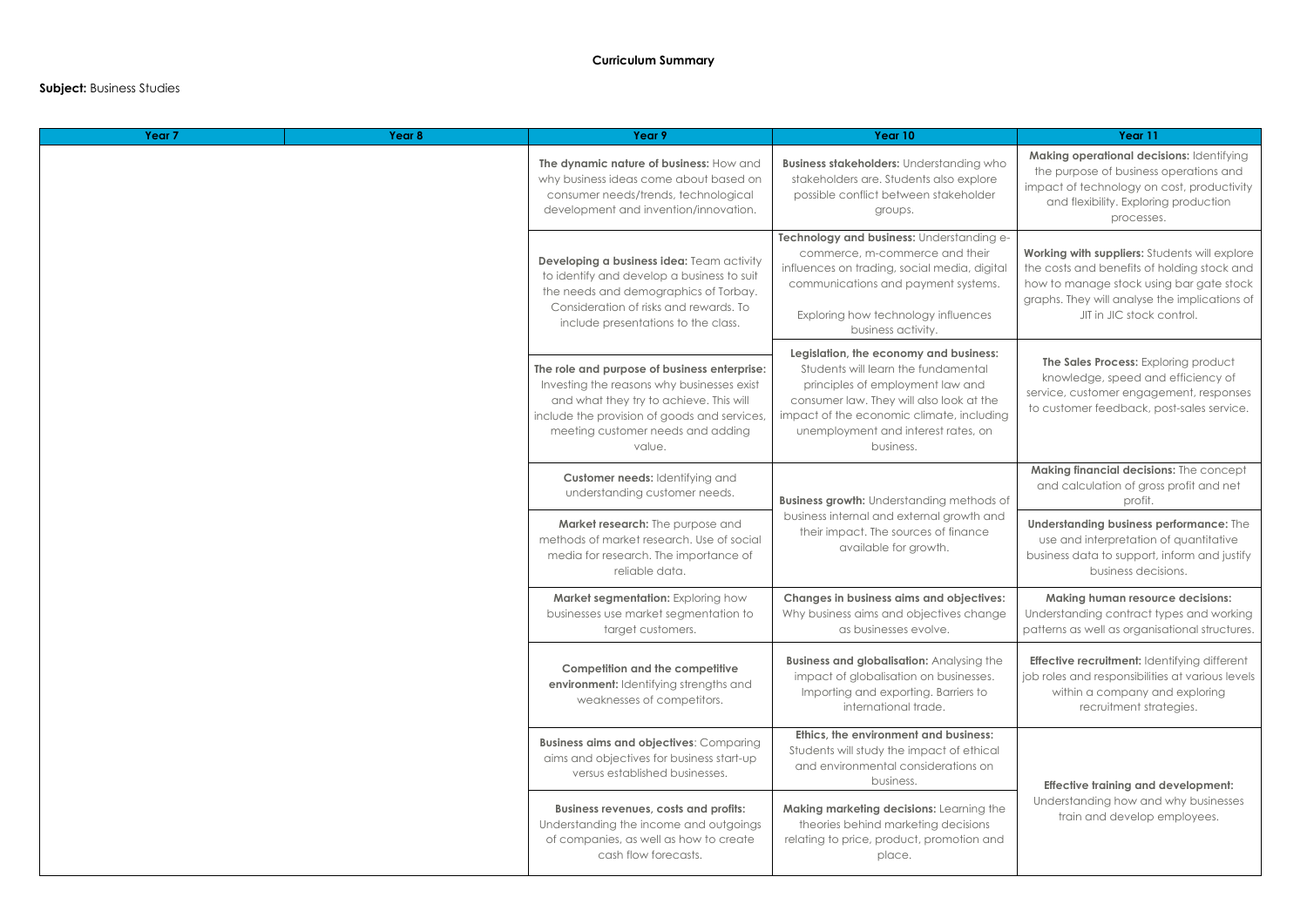## **Subject:** Business Studies

| Year <sub>7</sub> | Year 8                                                                                                                                                                                                       | Year 9                                                                                                                                                                                                                               | Year 10                                                                                                                                                                                                                                                        | Year 11                                                                                                                                                                                           |
|-------------------|--------------------------------------------------------------------------------------------------------------------------------------------------------------------------------------------------------------|--------------------------------------------------------------------------------------------------------------------------------------------------------------------------------------------------------------------------------------|----------------------------------------------------------------------------------------------------------------------------------------------------------------------------------------------------------------------------------------------------------------|---------------------------------------------------------------------------------------------------------------------------------------------------------------------------------------------------|
|                   |                                                                                                                                                                                                              | The dynamic nature of business: How and<br>why business ideas come about based on<br>consumer needs/trends, technological<br>development and invention/innovation.                                                                   | <b>Business stakeholders:</b> Understanding who<br>stakeholders are. Students also explore<br>possible conflict between stakeholder<br>groups.                                                                                                                 | Making operational decisions: Iden<br>the purpose of business operations<br>impact of technology on cost, produ<br>and flexibility. Exploring producti<br>processes.                              |
|                   |                                                                                                                                                                                                              | Developing a business idea: Team activity<br>to identify and develop a business to suit<br>the needs and demographics of Torbay.<br>Consideration of risks and rewards. To<br>include presentations to the class.                    | Technology and business: Understanding e-<br>commerce, m-commerce and their<br>influences on trading, social media, digital<br>communications and payment systems.<br>Exploring how technology influences<br>business activity.                                | Working with suppliers: Students will a<br>the costs and benefits of holding stor<br>how to manage stock using bar gate<br>graphs. They will analyse the implication<br>JIT in JIC stock control. |
|                   |                                                                                                                                                                                                              | The role and purpose of business enterprise:<br>Investing the reasons why businesses exist<br>and what they try to achieve. This will<br>include the provision of goods and services,<br>meeting customer needs and adding<br>value. | Legislation, the economy and business:<br>Students will learn the fundamental<br>principles of employment law and<br>consumer law. They will also look at the<br>impact of the economic climate, including<br>unemployment and interest rates, on<br>business. | The Sales Process: Exploring prod<br>knowledge, speed and efficiency<br>service, customer engagement, resp<br>to customer feedback, post-sales se                                                 |
|                   | Customer needs: Identifying and<br>understanding customer needs.<br>Market research: The purpose and<br>methods of market research. Use of social<br>media for research. The importance of<br>reliable data. | <b>Business growth:</b> Understanding methods of                                                                                                                                                                                     | Making financial decisions: The cor<br>and calculation of gross profit and<br>profit.                                                                                                                                                                          |                                                                                                                                                                                                   |
|                   |                                                                                                                                                                                                              |                                                                                                                                                                                                                                      | business internal and external growth and<br>their impact. The sources of finance<br>available for growth.                                                                                                                                                     | <b>Understanding business performanc</b><br>use and interpretation of quantita<br>business data to support, inform and<br>business decisions.                                                     |
|                   |                                                                                                                                                                                                              | Market segmentation: Exploring how<br>businesses use market segmentation to<br>target customers.                                                                                                                                     | <b>Changes in business aims and objectives:</b><br>Why business aims and objectives change<br>as businesses evolve.                                                                                                                                            | Making human resource decisio<br>Understanding contract types and w<br>patterns as well as organisational stru                                                                                    |
|                   |                                                                                                                                                                                                              | <b>Competition and the competitive</b><br>environment: Identifying strengths and<br>weaknesses of competitors.                                                                                                                       | <b>Business and globalisation: Analysing the</b><br>impact of globalisation on businesses.<br>Importing and exporting. Barriers to<br>international trade.                                                                                                     | Effective recruitment: Identifying dif<br>job roles and responsibilities at variou<br>within a company and explorin<br>recruitment strategies.                                                    |
|                   |                                                                                                                                                                                                              | <b>Business aims and objectives: Comparing</b><br>aims and objectives for business start-up<br>versus established businesses.                                                                                                        | Ethics, the environment and business:<br>Students will study the impact of ethical<br>and environmental considerations on<br>business.                                                                                                                         | <b>Effective training and developme</b>                                                                                                                                                           |
|                   |                                                                                                                                                                                                              | <b>Business revenues, costs and profits:</b><br>Understanding the income and outgoings<br>of companies, as well as how to create<br>cash flow forecasts.                                                                             | Making marketing decisions: Learning the<br>theories behind marketing decisions<br>relating to price, product, promotion and<br>place.                                                                                                                         | Understanding how and why busin<br>train and develop employees.                                                                                                                                   |

| Year 10                                                                                                                                                                  | Year 11                                                                                                                                                                                                                |  |  |
|--------------------------------------------------------------------------------------------------------------------------------------------------------------------------|------------------------------------------------------------------------------------------------------------------------------------------------------------------------------------------------------------------------|--|--|
| Iders: Understanding who<br>e. Students also explore<br>ct between stakeholder<br>groups.                                                                                | Making operational decisions: Identifying<br>the purpose of business operations and<br>impact of technology on cost, productivity<br>and flexibility. Exploring production<br>processes.                               |  |  |
| <b>ousiness:</b> Understanding e-<br>n-commerce and their<br>ding, social media, digital<br>is and payment systems.<br>technology influences<br>ness activity.           | Working with suppliers: Students will explore<br>the costs and benefits of holding stock and<br>how to manage stock using bar gate stock<br>graphs. They will analyse the implications of<br>JIT in JIC stock control. |  |  |
| economy and business:<br>earn the fundamental<br>employment law and<br>They will also look at the<br>onomic climate, including<br>it and interest rates, on<br>business. | The Sales Process: Exploring product<br>knowledge, speed and efficiency of<br>service, customer engagement, responses<br>to customer feedback, post-sales service.                                                     |  |  |
| <b>Jnderstanding methods of</b>                                                                                                                                          | Making financial decisions: The concept<br>and calculation of gross profit and net<br>profit.                                                                                                                          |  |  |
| and external growth and<br>The sources of finance<br>ble for growth.                                                                                                     | Understanding business performance: The<br>use and interpretation of quantitative<br>business data to support, inform and justify<br>business decisions.                                                               |  |  |
| ness aims and objectives:<br>is and objectives change<br>inesses evolve.                                                                                                 | <b>Making human resource decisions:</b><br>Understanding contract types and working<br>patterns as well as organisational structures.                                                                                  |  |  |
| <b>balisation:</b> Analysing the<br>alisation on businesses.<br>d exporting. Barriers to<br>ational trade.                                                               | <b>Effective recruitment: Identifying different</b><br>job roles and responsibilities at various levels<br>within a company and exploring<br>recruitment strategies.                                                   |  |  |
| ironment and business:<br>dy the impact of ethical<br>ental considerations on<br>business.                                                                               | <b>Effective training and development:</b>                                                                                                                                                                             |  |  |
| g decisions: Learning the<br>nd marketing decisions<br>product, promotion and<br>place.                                                                                  | Understanding how and why businesses<br>train and develop employees.                                                                                                                                                   |  |  |